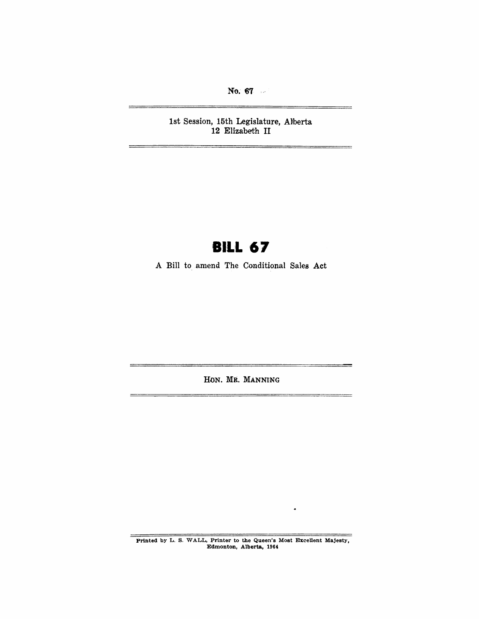No. 67

-

-

1st Session, 15th Legislature, Alberta 12 Elizabeth II

# **BILL 67**

A Bill to amend The Conditional Sales Act

HON. MR. MANNING

Printed by L. S. WALL, Printer to the Queen's Most Excellent Majesty, Edmonton, Alberta, 1964

 $\bullet$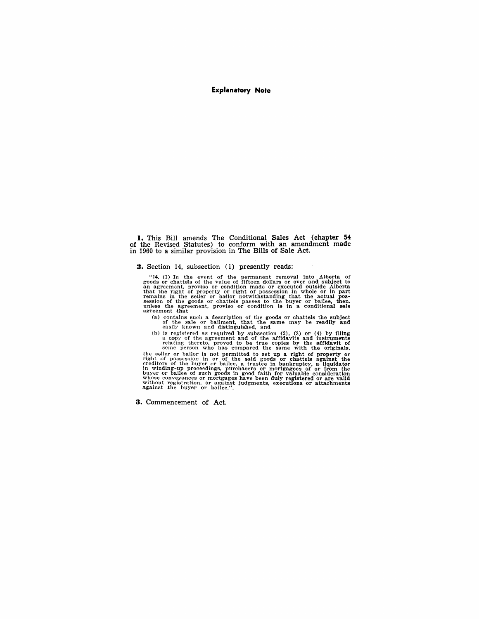#### **Explanatory Note**

**I.** This Bill amends The Conditional Sales Act (chapter **54**  of the Revised Statutes) to conform with an amendment made in 1960 to a similar provision in The Bills of Sale Act.

#### **2.** Section 14, subsection (1) presently reads:

"14. (1) In the event of the permanent removal into Alberta of goods or chattels of the value of fifteen dollars or<br>goods or chattels of the value of fifteen dollars or over and subject to<br>an agreement, proviso or conditio that the right of property or right of possession in whole or in part<br>remains in the seller or bailor notwithstanding that the actual pos-<br>session of the goods or chattels passes to the buyer or bailee, then,<br>unless the ag

(a) contains such a description of the goods or chattels the subject of the sale or batilment, that the same may be readily and easily known and distinguished, and

(b) is registered as required by subsection  $(2)$ ,  $(3)$  or  $(4)$  by filing a copy of the agreement and of the affidavits and instruments relating thereto, proved to be true copies by the affidavit of some person who has compared the same with the originals,

the seller or bailor is not permitted to set up a right of property or right of possession in or of the said goods or chattels against the creditors of the buyer or bailee, a trustee in bankruptcy, a liquidator<br>in winding-up proceedings, purchasers or mortgagees of or from the<br>buyer or bailee of such goods in good faith for valuable consideration<br>whose convey

**3.** Commencement of Act.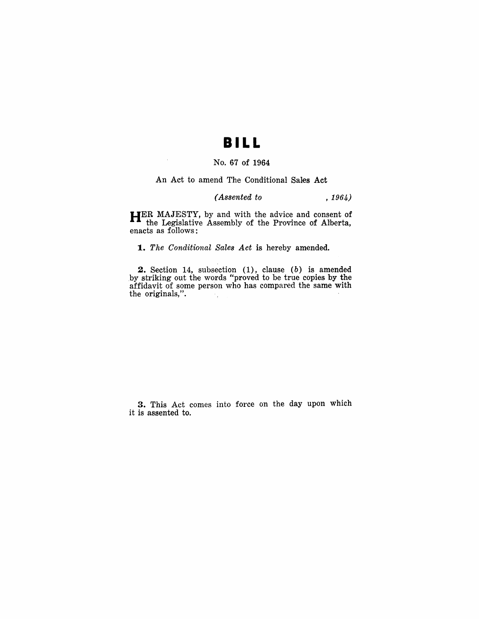## **BILL**

### No. 67 of 1964

An Act to amend The Conditional Sales Aet

#### *(A88ented to* , 1964)

HER MAJESTY, by and with the advice and consent of the Legislative Assembly of the Province of Alberta, enacts as follows:

*1. The Conditional Sale8 Act* is hereby amended.

2. Section 14, subsection (1), clause (b) is amended by striking out the words "proved to be true copies by the affidavit of some person who has compared the same with the originals,".

3. This Act comes into force on the day upon which it is assented to.